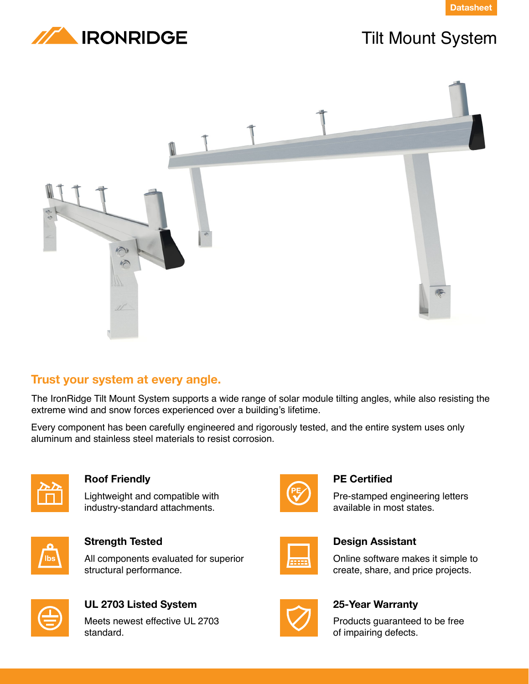



# Tilt Mount System



# **Trust your system at every angle.**

The IronRidge Tilt Mount System supports a wide range of solar module tilting angles, while also resisting the extreme wind and snow forces experienced over a building's lifetime.

Every component has been carefully engineered and rigorously tested, and the entire system uses only aluminum and stainless steel materials to resist corrosion.



### **Roof Friendly**

Lightweight and compatible with industry-standard attachments.



### **Strength Tested**

All components evaluated for superior structural performance.



# **UL 2703 Listed System**

Meets newest effective UL 2703 standard.



### **PE Certified**

Pre-stamped engineering letters available in most states.



### **Design Assistant**

Online software makes it simple to create, share, and price projects.



## **25-Year Warranty**

Products guaranteed to be free of impairing defects.